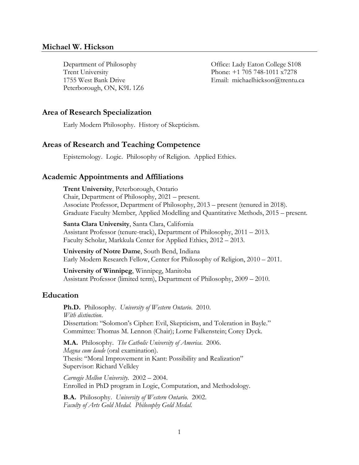Peterborough, ON, K9L 1Z6

Department of Philosophy Office: Lady Eaton College S108 Trent University Phone: +1 705 748-1011 x7278 1755 West Bank Drive Email: michaelhickson@trentu.ca

# **Area of Research Specialization**

Early Modern Philosophy. History of Skepticism.

## **Areas of Research and Teaching Competence**

Epistemology. Logic. Philosophy of Religion. Applied Ethics.

### **Academic Appointments and Affiliations**

**Trent University**, Peterborough, Ontario Chair, Department of Philosophy, 2021 – present. Associate Professor, Department of Philosophy, 2013 – present (tenured in 2018). Graduate Faculty Member, Applied Modelling and Quantitative Methods, 2015 – present.

**Santa Clara University**, Santa Clara, California Assistant Professor (tenure-track), Department of Philosophy, 2011 – 2013. Faculty Scholar, Markkula Center for Applied Ethics, 2012 – 2013.

**University of Notre Dame**, South Bend, Indiana Early Modern Research Fellow, Center for Philosophy of Religion, 2010 – 2011.

**University of Winnipeg**, Winnipeg, Manitoba Assistant Professor (limited term), Department of Philosophy, 2009 – 2010.

# **Education**

**Ph.D.** Philosophy. *University of Western Ontario*. 2010. *With distinction*. Dissertation: "Solomon's Cipher: Evil, Skepticism, and Toleration in Bayle." Committee: Thomas M. Lennon (Chair); Lorne Falkenstein; Corey Dyck.

**M.A.** Philosophy. *The Catholic University of America*. 2006. *Magna cum laude* (oral examination). Thesis: "Moral Improvement in Kant: Possibility and Realization" Supervisor: Richard Velkley

*Carnegie Mellon University*. 2002 – 2004. Enrolled in PhD program in Logic, Computation, and Methodology.

**B.A.** Philosophy. *University of Western Ontario*. 2002. *Faculty of Arts Gold Medal. Philosophy Gold Medal.*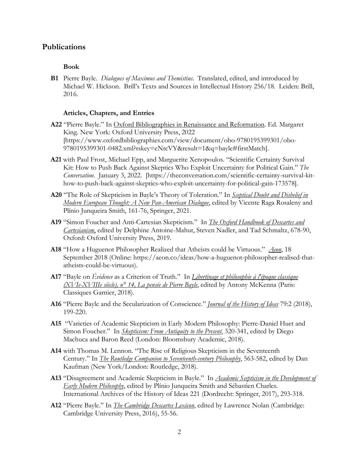## **Publications**

#### **Book**

**B1** Pierre Bayle. *Dialogues of Maximus and Themistius*. Translated, edited, and introduced by Michael W. Hickson. Brill's Texts and Sources in Intellectual History 256/18. Leiden: Brill, 2016.

#### **Articles, Chapters, and Entries**

- **A22** "Pierre Bayle." In Oxford Bibliographies in Renaissance and Reformation. Ed. Margaret King. New York: Oxford University Press, 2022 [https://www.oxfordbibliographies.com/view/document/obo-9780195399301/obo-9780195399301-0482.xml?rskey=eNtcVY&result=1&q=bayle#firstMatch].
- **A21** with Paul Frost, Michael Epp, and Marguerite Xenopoulos. "Scientific Certainty Survival Kit: How to Push Back Against Skeptics Who Exploit Uncertainty for Political Gain." *The Conversation*. January 3, 2022. [https://theconversation.com/scientific-certainty-survival-kithow-to-push-back-against-skeptics-who-exploit-uncertainty-for-political-gain-173578].
- **A20** "The Role of Skepticism in Bayle's Theory of Toleration." In *Sceptical Doubt and Disbelief in Modern European Thought: A New Pan-American Dialogue*, edited by Vicente Raga Rosaleny and Plínio Junqueira Smith, 161-76, Springer, 2021.
- **A19** "Simon Foucher and Anti-Cartesian Skepticism." In *The Oxford Handbook of Descartes and Cartesianism*, edited by Delphine Antoine-Mahut, Steven Nadler, and Tad Schmaltz, 678-90, Oxford: Oxford University Press, 2019.
- **A18** "How a Huguenot Philosopher Realized that Atheists could be Virtuous." *Aeon*, 18 September 2018 (Online: https://aeon.co/ideas/how-a-huguenot-philosopher-realised-thatatheists-could-be-virtuous).
- **A17** "Bayle on *Évidence* as a Criterion of Truth." In *Libertinage et philosophie à l'époque classique (XVIe-XVIIIe siècle), n° 14, La pensée de Pierre Bayle*, edited by Antony McKenna (Paris: Classiques Garnier, 2018).
- **A16** "Pierre Bayle and the Secularization of Conscience." *Journal of the History of Ideas* 79:2 (2018), 199-220.
- **A15** "Varieties of Academic Skepticism in Early Modern Philosophy: Pierre-Daniel Huet and Simon Foucher." In *Skepticism: From Antiquity to the Present*, 320-341, edited by Diego Machuca and Baron Reed (London: Bloomsbury Academic, 2018).
- **A14** with Thomas M. Lennon. "The Rise of Religious Skepticism in the Seventeenth Century." In *The Routledge Companion to Seventeenth-century Philosophy*, 563-582, edited by Dan Kaufman (New York/London: Routledge, 2018).
- **A13** "Disagreement and Academic Skepticism in Bayle." In *Academic Scepticism in the Development of Early Modern Philosophy*, edited by Plínio Junqueira Smith and Sébastien Charles. International Archives of the History of Ideas 221 (Dordrecht: Springer, 2017), 293-318.
- **A12** "Pierre Bayle." In *The Cambridge Descartes Lexicon*, edited by Lawrence Nolan (Cambridge: Cambridge University Press, 2016), 55-56.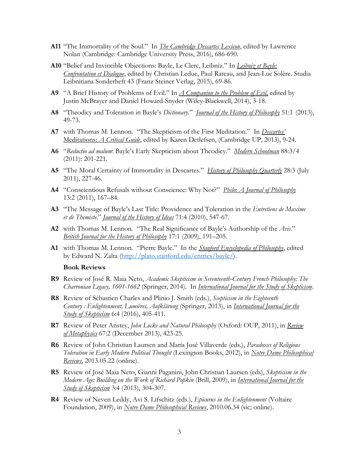- **A11** "The Immortality of the Soul." In *The Cambridge Descartes Lexicon*, edited by Lawrence Nolan (Cambridge: Cambridge University Press, 2016), 686-690.
- **A10** "Belief and Invincible Objections: Bayle, Le Clerc, Leibniz." In *Leibniz et Bayle: Confrontation et Dialogue*, edited by Christian Leduc, Paul Rateau, and Jean-Luc Solère. Studia Leibnitiana Sonderheft 43 (Franz Steiner Verlag, 2015), 69-86.
- **A9** "A Brief History of Problems of Evil." In *A Companion to the Problem of Evil*, edited by Justin McBrayer and Daniel Howard-Snyder (Wiley-Blackwell, 2014), 3-18.
- **A8** "Theodicy and Toleration in Bayle's *Dictionary*." *Journal of the History of Philosophy* 51:1 (2013), 49-73.
- **A7** with Thomas M. Lennon. "The Skepticism of the First Meditation." In *Descartes'*  Meditations: *A Critical Guide*, edited by Karen Detlefsen, (Cambridge UP, 2013), 9-24.
- **A6** "*Reductio ad malum*: Bayle's Early Skepticism about Theodicy." *Modern Schoolman* 88:3/4 (2011): 201-221.
- **A5** "The Moral Certainty of Immortality in Descartes." *History of Philosophy Quarterly* 28:3 (July 2011), 227-46.
- **A4** "Conscientious Refusals without Conscience: Why Not?" *Philo*: *A Journal of Philosophy* 13:2 (2011), 167–84.
- **A3** "The Message of Bayle's Last Title: Providence and Toleration in the *Entretiens de Maxime et de Themiste*." *Journal of the History of Ideas* 71:4 (2010), 547-67.
- **A2** with Thomas M. Lennon. "The Real Significance of Bayle's Authorship of the *Avis*." *British Journal for the History of Philosophy* 17:1 (2009), 191–205.
- **A1** with Thomas M. Lennon. "Pierre Bayle." In the *Stanford Encyclopedia of Philosophy*, edited by Edward N. Zalta [\(http://plato.stanford.edu/entries/bayle/\)](http://plato.stanford.edu/entries/bayle/).

#### **Book Reviews**

- **R9** Review of José R. Maia Neto, *Academic Skepticism in Seventeenth-Century French Philosophy: The Charronian Legacy, 1601-1662* (Springer, 2014). In *International Journal for the Study of Skepticism*.
- **R8** Review of Sébastien Charles and Plinio J. Smith (eds.), *Scepticism in the Eighteenth Century : Enlightenment, Lumières, Aufklärung* (Springer, 2013), in *International Journal for the Study of Skepticism* 6:4 (2016), 405-411.
- **R7** Review of Peter Anstey, *John Locke and Natural Philosophy* (Oxford: OUP, 2011), in *Review of Metaphysics* 67:2 (December 2013), 423-25.
- **R6** Review of John Christian Laursen and María José Villaverde (eds.), *Paradoxes of Religious Toleration in Early Modern Political Thought* (Lexington Books, 2012), in *Notre Dame Philosophical Reviews*, 2013.05.22 (online).
- **R5** Review of José Maia Neto, Gianni Paganini, John Christian Laursen (eds), *Skepticism in the Modern Age: Building on the Work of Richard Popkin* (Brill, 2009), in *International Journal for the Study of Skepticism* 3:4 (2013), 304-307.
- **R4** Review of Neven Leddy, Avi S. Lifschitz (eds.), *Epicurus in the Enlightenment* (Voltaire Foundation, 2009), in *Notre Dame Philosophical Reviews*, 2010.06.34 (sic; online).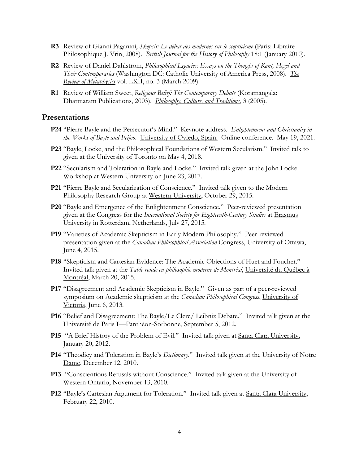- **R3** Review of Gianni Paganini, *Skepsis: Le débat des modernes sur le scepticisme* (Paris: Libraire Philosophique J. Vrin, 2008). *British Journal for the History of Philosophy* 18:1 (January 2010).
- **R2** Review of Daniel Dahlstrom, *Philosophical Legacies: Essays on the Thought of Kant, Hegel and Their Contemporaries* (Washington DC: Catholic University of America Press, 2008). *The Review of Metaphysics* vol. LXII, no. 3 (March 2009).
- **R1** Review of William Sweet, *Religious Belief: The Contemporary Debate* (Koramangala: Dharmaram Publications, 2003). *Philosophy, Culture, and Traditions*, 3 (2005).

#### **Presentations**

- **P24** "Pierre Bayle and the Persecutor's Mind." Keynote address. *Enlightenment and Christianity in the Works of Bayle and Feijoo*. University of Oviedo, Spain. Online conference. May 19, 2021.
- **P23** "Bayle, Locke, and the Philosophical Foundations of Western Secularism." Invited talk to given at the University of Toronto on May 4, 2018.
- **P22** "Secularism and Toleration in Bayle and Locke." Invited talk given at the John Locke Workshop at Western University on June 23, 2017.
- **P21** "Pierre Bayle and Secularization of Conscience." Invited talk given to the Modern Philosophy Research Group at Western University, October 29, 2015.
- **P20** "Bayle and Emergence of the Enlightenment Conscience." Peer-reviewed presentation given at the Congress for the *International Society for Eighteenth-Century Studies* at Erasmus University in Rotterdam, Netherlands, July 27, 2015.
- **P19** "Varieties of Academic Skepticism in Early Modern Philosophy." Peer-reviewed presentation given at the *Canadian Philosophical Association* Congress, University of Ottawa, June 4, 2015.
- **P18** "Skepticism and Cartesian Evidence: The Academic Objections of Huet and Foucher." Invited talk given at the *Table ronde en philosophie moderne de Montréal*, Université du Québec à Montréal, March 20, 2015.
- **P17** "Disagreement and Academic Skepticism in Bayle." Given as part of a peer-reviewed symposium on Academic skepticism at the *Canadian Philosophical Congress*, University of Victoria, June 6, 2013.
- **P16** "Belief and Disagreement: The Bayle/Le Clerc/ Leibniz Debate." Invited talk given at the Université de Paris I—Panthéon-Sorbonne, September 5, 2012.
- **P15** "A Brief History of the Problem of Evil." Invited talk given at Santa Clara University, January 20, 2012.
- **P14** "Theodicy and Toleration in Bayle's *Dictionary*." Invited talk given at the University of Notre Dame, December 12, 2010.
- **P13** "Conscientious Refusals without Conscience." Invited talk given at the University of Western Ontario, November 13, 2010.
- P12 "Bayle's Cartesian Argument for Toleration." Invited talk given at Santa Clara University, February 22, 2010.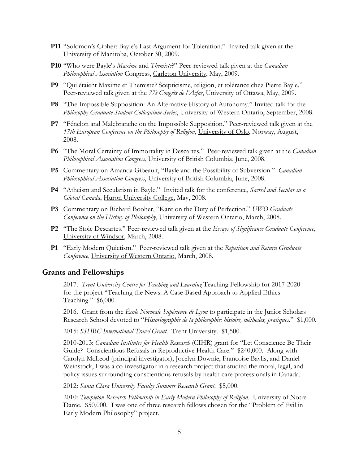- **P11** "Solomon's Cipher: Bayle's Last Argument for Toleration." Invited talk given at the University of Manitoba, October 30, 2009.
- **P10** "Who were Bayle's *Maxime* and *Themiste*?" Peer-reviewed talk given at the *Canadian Philosophical Association* Congress, Carleton University, May, 2009.
- **P9** "Qui étaient Maxime et Themiste? Scepticisme, religion, et tolérance chez Pierre Bayle." Peer-reviewed talk given at the *77è Congrès de l'Acfas*, University of Ottawa, May, 2009.
- **P8** "The Impossible Supposition: An Alternative History of Autonomy." Invited talk for the *Philosophy Graduate Student Colloquium Series*, University of Western Ontario, September, 2008.
- **P7** "Fénelon and Malebranche on the Impossible Supposition." Peer-reviewed talk given at the *17th European Conference on the Philosophy of Religion*, University of Oslo, Norway, August, 2008.
- **P6** "The Moral Certainty of Immortality in Descartes." Peer-reviewed talk given at the *Canadian Philosophical Association Congress*, University of British Columbia, June, 2008.
- **P5** Commentary on Amanda Gibeault, "Bayle and the Possibility of Subversion." *Canadian Philosophical Association Congress*, University of British Columbia, June, 2008.
- **P4** "Atheism and Secularism in Bayle." Invited talk for the conference, *Sacred and Secular in a Global Canada*, Huron University College, May, 2008.
- **P3** Commentary on Richard Booher, "Kant on the Duty of Perfection." *UWO Graduate Conference on the History of Philosophy*, University of Western Ontario, March, 2008.
- **P2** "The Stoic Descartes." Peer-reviewed talk given at the *Essays of Significance Graduate Conference*, University of Windsor, March, 2008.
- **P1** "Early Modern Quietism." Peer-reviewed talk given at the *Repetition and Return Graduate Conference*, University of Western Ontario, March, 2008.

## **Grants and Fellowships**

2017. *Trent University Centre for Teaching and Learning* Teaching Fellowship for 2017-2020 for the project "Teaching the News: A Case-Based Approach to Applied Ethics Teaching." \$6,000.

2016. Grant from the *École Normale Supérieure de Lyon* to participate in the Junior Scholars Research School devoted to "*Historiographie de la philosophie: histoire, méthodes, pratiques*." \$1,000.

2015: *SSHRC International Travel Grant*. Trent University. \$1,500.

2010-2013: *Canadian Institutes for Health Research* (CIHR) grant for "Let Conscience Be Their Guide? Conscientious Refusals in Reproductive Health Care." \$240,000. Along with Carolyn McLeod (principal investigator), Jocelyn Downie, Francoise Baylis, and Daniel Weinstock, I was a co-investigator in a research project that studied the moral, legal, and policy issues surrounding conscientious refusals by health care professionals in Canada.

2012: *Santa Clara University Faculty Summer Research Grant*. \$5,000.

2010: *Templeton Research Fellowship in Early Modern Philosophy of Religion*. University of Notre Dame. \$50,000. I was one of three research fellows chosen for the "Problem of Evil in Early Modern Philosophy" project.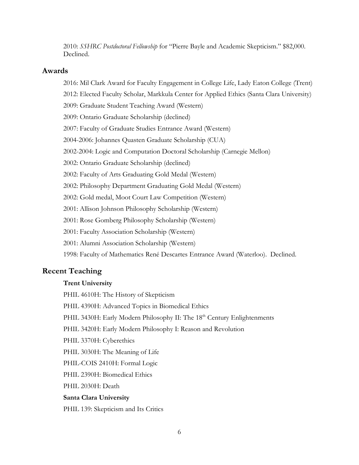2010: *SSHRC Postdoctoral Fellowship* for "Pierre Bayle and Academic Skepticism." \$82,000. Declined.

# **Awards**

2016: Mil Clark Award for Faculty Engagement in College Life, Lady Eaton College (Trent)

2012: Elected Faculty Scholar, Markkula Center for Applied Ethics (Santa Clara University)

- 2009: Graduate Student Teaching Award (Western)
- 2009: Ontario Graduate Scholarship (declined)
- 2007: Faculty of Graduate Studies Entrance Award (Western)
- 2004-2006: Johannes Quasten Graduate Scholarship (CUA)
- 2002-2004: Logic and Computation Doctoral Scholarship (Carnegie Mellon)
- 2002: Ontario Graduate Scholarship (declined)
- 2002: Faculty of Arts Graduating Gold Medal (Western)
- 2002: Philosophy Department Graduating Gold Medal (Western)
- 2002: Gold medal, Moot Court Law Competition (Western)
- 2001: Allison Johnson Philosophy Scholarship (Western)
- 2001: Rose Gomberg Philosophy Scholarship (Western)
- 2001: Faculty Association Scholarship (Western)
- 2001: Alumni Association Scholarship (Western)
- 1998: Faculty of Mathematics René Descartes Entrance Award (Waterloo). Declined.

# **Recent Teaching**

# **Trent University**

PHIL 4610H: The History of Skepticism

- PHIL 4390H: Advanced Topics in Biomedical Ethics
- PHIL 3430H: Early Modern Philosophy II: The 18<sup>th</sup> Century Enlightenments
- PHIL 3420H: Early Modern Philosophy I: Reason and Revolution
- PHIL 3370H: Cyberethics
- PHIL 3030H: The Meaning of Life
- PHIL-COIS 2410H: Formal Logic
- PHIL 2390H: Biomedical Ethics
- PHIL 2030H: Death

# **Santa Clara University**

PHIL 139: Skepticism and Its Critics